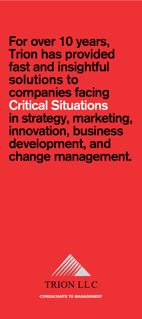### **For over 10 years, Trion has provided fast and insightful solutions to companies facing Critical Situations in strategy, marketing, innovation, business development, and change management.**



consultants to Management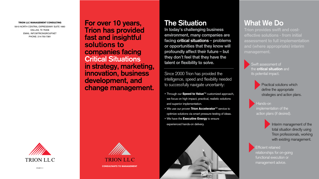# **The Situation**

**In today's challenging business environment, many companies are facing critical situations – problems or opportunities that they know will profoundly affect their future – but they don't feel that they have the talent or flexibility to solve.**

Since 2000 Trion has provided the intelligence, speed and flexibility needed to successfully navigate uncertainty:

- Through our **Speed to Value**<sup>™</sup> customized approach, we focus on high impact, practical, realistic solutions and superior implementation.
- $\bullet$  We use our proven Trion Accelerator<sup>TM</sup> service to optimize solutions via smart pressure testing of ideas.
- We have the Executive Energy to ensure experienced hands-on delivery.



# **What We Do**

**Trion provides swift and costeffective solutions - from initial assessment to full implementation and (where appropriate) interim management.**

> Swift assessment of the **critical situation** and its potential impact.

> > Practical solutions which define the appropriate strategies and action plans.

Hands-on implementation of the action plans (if desired).

> Interim management of the total situation directly using Trion professionals, working with existing management.



Efficient retained relationships for on-going functional execution or management advice.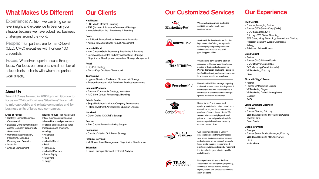## **What Makes Us Different**

**Experience:** At Trion, we can bring senior level insight and experience to bear on your situation because we have solved real business challenges around the world.

**People:** Trion partners are former C-Level (CEO, CMO) executives with Fortune 100 credentials.

**Focus:** We deliver superior results through focus. We focus our time on a small number of select clients – clients with whom the partners work directly.

### **About Us**

**Trion LLC was formed in 2000 by Irwin Gordon to focus on "Critical Business Situations" for small to mid-cap public and private companies and for business units of large cap companies.**

#### **Areas of Focus:**

- Strategy: General Business; **Commercial**
- Business Development: Market and/or Company Opportunity Assessment
- Marketing: Segmentation, Positioning, Branding, Planning, and Execution
- Innovation
- Change Management
- **Industry Focus:** Trion has solved critical business situations and delivered improved performance for clients across a broad range of industries and situations, including:
- Healthcare
- Food
- Industrial Food
- Retail
- Technology
- Industrial Products
- Private Equity
- Non-Profit
- Energy

|                 | <b>Dur Customized Services</b>                                    |
|-----------------|-------------------------------------------------------------------|
| $\mathbf{r}$ 1. | We provide outsourced marketing<br>services from planning through |

• Principal • Former Senior Product Manager, Frito Lay Brand Management, McKinsey & Co. P&G **Nationsbank** 

### **Our Experience**

Developed over 10 years, the Trion Accelerator™ is a disciplined, proprietary, and unique service that insures high impact, tested, and practical solutions to client problems.

#### **Irwin Gordon**

• Founder; Managing Partner • Former CEO Gruma Corp (GMK) COO Suiza-Dean (DF) Frito Lay: SVP Global Branding; SVP Sales, Mktg, Technology International Division; President Southern Europe Operations Kellogg • Public and Private Boards

#### **David Garrett**





• Partner • Former CMO Mission Foods CMO Brach's Confections EVP Marketing Camelot (media) VP Marketing, Frito Lay P&G

#### **Elizabeth "Jiggs" Foster**

• Partner • Former VP Marketing Brinker VP Marketing Diageo VP Marketing Dallas Morning News **Cadbury**  P&G **Laurie Whitmore Lippincott** • Principal • Former Director, Frito Lay Brand Management, The Yarmouth Group Towers Perrin Dean Foods **Debbie Crumpler**

**TRANSITION** Pro

## **Our Clients**

#### **Healthcare:**

- PSS World Medical: Branding
- ASP (Johnson & Johnson) Commercial Strategy
- HospitalistsNow, Inc.: Positioning & Branding

#### **Food:**

- H P Hood: Brand/Product Assessment; Innovation
- Kemps: In Market Brand/Product Assessment

#### **Industrial Food:**

- 21st Century Grain Processing: Positioning & Branding
- Dairy Management Inc (Industry Association): Strategy; Organization Development; Innovation; Change Management

### **Retail:**

- City Pet: Strategy
- Florida Keys Outfitters: Turnaround

#### **Technology:**

- Hyphen Solutions (Software): Commercial Strategy
- Emerge Interactive: High Tech New Product Assessment

#### **Industrial Products:**

- Formica: Commercial Strategy; Innovation
- JMC Steel Group: Positioning & Branding

#### **Private Equity:**

- Sequel Holdings: Market & Company Assessments
- Falcon Investment Advisors: Key Question Opinion

#### **Non-Profit:**

• City of Dallas "DOORS": Strategy

#### **Energy:**

• First Choice Power: Marketing Support

#### **Restaurant:**

• Carrabba's Italian Grill: Menu Strategy

#### **Financial Services:**

• McGowan Asset Management: Organization Development

#### **Education:**

• Parish Episcopal School: Enrollment Analysis